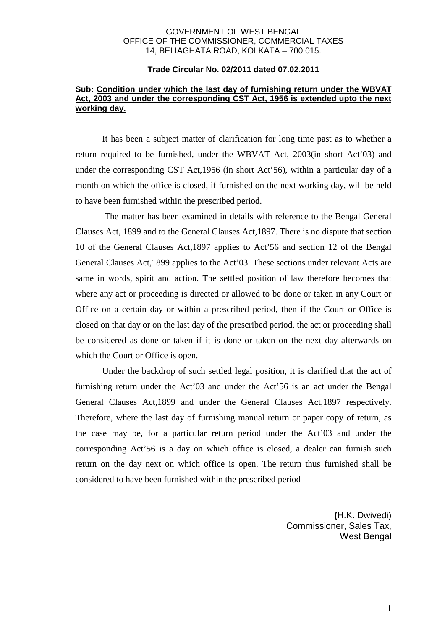## GOVERNMENT OF WEST BENGAL OFFICE OF THE COMMISSIONER, COMMERCIAL TAXES 14, BELIAGHATA ROAD, KOLKATA – 700 015.

## **Trade Circular No. 02/2011 dated 07.02.2011**

## **Sub: Condition under which the last day of furnishing return under the WBVAT Act, 2003 and under the corresponding CST Act, 1956 is extended upto the next working day.**

 It has been a subject matter of clarification for long time past as to whether a return required to be furnished, under the WBVAT Act, 2003(in short Act'03) and under the corresponding CST Act,1956 (in short Act'56), within a particular day of a month on which the office is closed, if furnished on the next working day, will be held to have been furnished within the prescribed period.

 The matter has been examined in details with reference to the Bengal General Clauses Act, 1899 and to the General Clauses Act,1897. There is no dispute that section 10 of the General Clauses Act,1897 applies to Act'56 and section 12 of the Bengal General Clauses Act,1899 applies to the Act'03. These sections under relevant Acts are same in words, spirit and action. The settled position of law therefore becomes that where any act or proceeding is directed or allowed to be done or taken in any Court or Office on a certain day or within a prescribed period, then if the Court or Office is closed on that day or on the last day of the prescribed period, the act or proceeding shall be considered as done or taken if it is done or taken on the next day afterwards on which the Court or Office is open.

 Under the backdrop of such settled legal position, it is clarified that the act of furnishing return under the Act'03 and under the Act'56 is an act under the Bengal General Clauses Act,1899 and under the General Clauses Act,1897 respectively. Therefore, where the last day of furnishing manual return or paper copy of return, as the case may be, for a particular return period under the Act'03 and under the corresponding Act'56 is a day on which office is closed, a dealer can furnish such return on the day next on which office is open. The return thus furnished shall be considered to have been furnished within the prescribed period

> **(**H.K. Dwivedi) Commissioner, Sales Tax, West Bengal